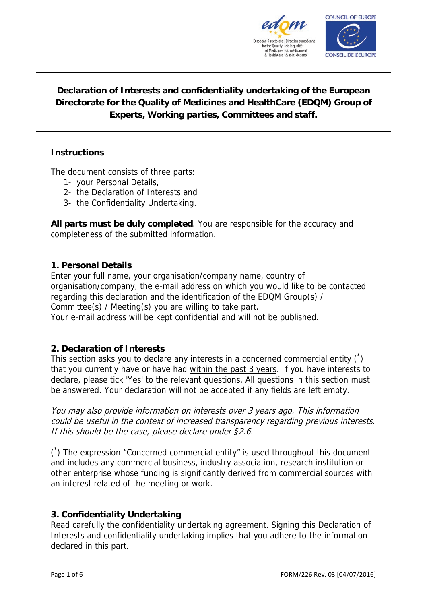



# **Declaration of Interests and confidentiality undertaking of the European Directorate for the Quality of Medicines and HealthCare (EDQM) Group of Experts, Working parties, Committees and staff.**

# **Instructions**

The document consists of three parts:

- 1- your Personal Details,
- 2- the Declaration of Interests and
- 3- the Confidentiality Undertaking.

**All parts must be duly completed**. You are responsible for the accuracy and completeness of the submitted information.

# **1. Personal Details**

Enter your full name, your organisation/company name, country of organisation/company, the e-mail address on which you would like to be contacted regarding this declaration and the identification of the EDQM Group(s) / Committee(s) / Meeting(s) you are willing to take part. Your e-mail address will be kept confidential and will not be published.

# **2. Declaration of Interests**

This section asks you to declare any interests in a concerned commercial entity  $\binom{1}{k}$ that you currently have or have had within the past 3 years. If you have interests to declare, please tick 'Yes' to the relevant questions. All questions in this section must be answered. Your declaration will not be accepted if any fields are left empty.

You may also provide information on interests over 3 years ago. This information could be useful in the context of increased transparency regarding previous interests. If this should be the case, please declare under §2.6.

( \* ) The expression "Concerned commercial entity" is used throughout this document and includes any commercial business, industry association, research institution or other enterprise whose funding is significantly derived from commercial sources with an interest related of the meeting or work.

# **3. Confidentiality Undertaking**

Read carefully the confidentiality undertaking agreement. Signing this Declaration of Interests and confidentiality undertaking implies that you adhere to the information declared in this part.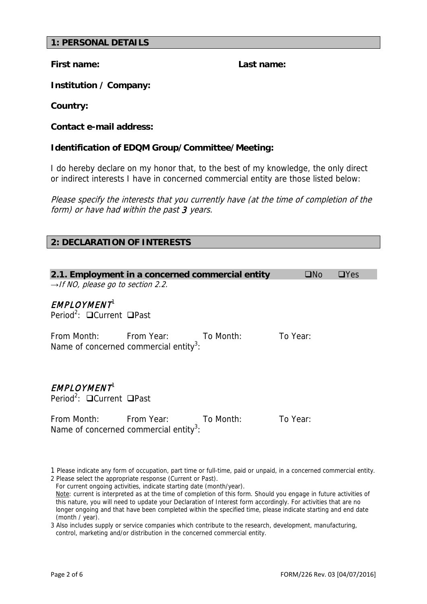#### **1: PERSONAL DETAILS**

**First name: Last name:**

**Institution / Company:**

**Country:** 

**Contact e-mail address:**

#### **Identification of EDQM Group/Committee/Meeting:**

I do hereby declare on my honor that, to the best of my knowledge, the only direct or indirect interests I have in concerned commercial entity are those listed below:

Please specify the interests that you currently have (at the time of completion of the form) or have had within the past 3 years.

#### **2: DECLARATION OF INTERESTS**

|                                                                       | 2.1. Employment in a concerned commercial entity                                       |           | $\square$ No | $\Box$ Yes |
|-----------------------------------------------------------------------|----------------------------------------------------------------------------------------|-----------|--------------|------------|
| $\rightarrow$ If NO, please go to section 2.2.                        |                                                                                        |           |              |            |
| <b>EMPLOYMENT</b><br>Period <sup>2</sup> : $\Box$ Current $\Box$ Past |                                                                                        |           |              |            |
|                                                                       | From Month: From Year: To Month:<br>Name of concerned commercial entity <sup>3</sup> : |           | To Year:     |            |
| <b>EMPLOYMENT</b><br>Period <sup>2</sup> : $\Box$ Current $\Box$ Past |                                                                                        |           |              |            |
| From Month:                                                           | <b>Erom Year:</b>                                                                      | To Month: | To Year:     |            |

1 Please indicate any form of occupation, part time or full-time, paid or unpaid, in a concerned commercial entity. 2 Please select the appropriate response (Current or Past).

For current ongoing activities, indicate starting date (month/year).

Name of concerned commercial entity<sup>3</sup>:

Note: current is interpreted as at the time of completion of this form. Should you engage in future activities of this nature, you will need to update your Declaration of Interest form accordingly. For activities that are no longer ongoing and that have been completed within the specified time, please indicate starting and end date (month / year).

3 Also includes supply or service companies which contribute to the research, development, manufacturing, control, marketing and/or distribution in the concerned commercial entity.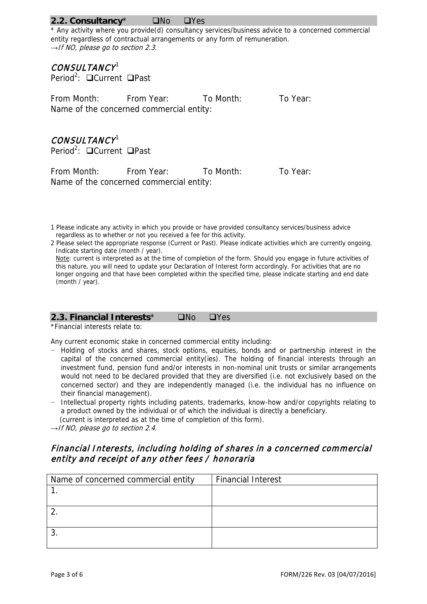#### **2.2. Consultancy No** DYes

\* Any activity where you provide(d) consultancy services/business advice to a concerned commercial entity regardless of contractual arrangements or any form of remuneration. *→*If NO, please go to section 2.3.

# CONSULTANCY<sup>1</sup>

Period<sup>2</sup>: □ Current □ Past

From Month: From Year: To Month: To Year: Name of the concerned commercial entity:

# CONSULTANCY<sup>1</sup>

Period<sup>2</sup>: **□**Current □ Past

From Month: From Year: To Month: To Year: Name of the concerned commercial entity:

2 Please select the appropriate response (Current or Past). Please indicate activities which are currently ongoing. Indicate starting date (month / year).

Note: current is interpreted as at the time of completion of the form. Should you engage in future activities of this nature, you will need to update your Declaration of Interest form accordingly. For activities that are no longer ongoing and that have been completed within the specified time, please indicate starting and end date (month / year).

#### **2.3. Financial Interests**<sup>\*</sup> **No** DYes

\*Financial interests relate to:

Any current economic stake in concerned commercial entity including:

- − Holding of stocks and shares, stock options, equities, bonds and or partnership interest in the capital of the concerned commercial entity(ies). The holding of financial interests through an investment fund, pension fund and/or interests in non-nominal unit trusts or similar arrangements would not need to be declared provided that they are diversified (i.e. not exclusively based on the concerned sector) and they are independently managed (i.e. the individual has no influence on their financial management).
- − Intellectual property rights including patents, trademarks, know-how and/or copyrights relating to a product owned by the individual or of which the individual is directly a beneficiary. (current is interpreted as at the time of completion of this form).

*→*If NO, please go to section 2.4.

# Financial Interests, including holding of shares in a concerned commercial entity and receipt of any other fees / honoraria

| Name of concerned commercial entity | <b>Financial Interest</b> |
|-------------------------------------|---------------------------|
|                                     |                           |
|                                     |                           |
|                                     |                           |
|                                     |                           |
|                                     |                           |
|                                     |                           |

<sup>1</sup> Please indicate any activity in which you provide or have provided consultancy services/business advice regardless as to whether or not you received a fee for this activity.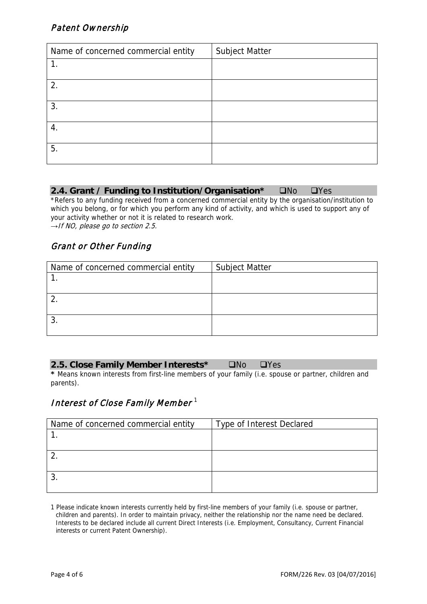# Patent Ownership

| Name of concerned commercial entity | <b>Subject Matter</b> |
|-------------------------------------|-----------------------|
|                                     |                       |
| 2.                                  |                       |
| 3.                                  |                       |
| $\overline{4}$ .                    |                       |
| 5.                                  |                       |

| 2.4. Grant / Funding to Institution/Organisation* ONo OYes |  |  |  |
|------------------------------------------------------------|--|--|--|
|------------------------------------------------------------|--|--|--|

\*Refers to any funding received from a concerned commercial entity by the organisation/institution to which you belong, or for which you perform any kind of activity, and which is used to support any of your activity whether or not it is related to research work. *→*If NO, please go to section 2.5.

# Grant or Other Funding

| Name of concerned commercial entity | <b>Subject Matter</b> |
|-------------------------------------|-----------------------|
|                                     |                       |
|                                     |                       |
|                                     |                       |
|                                     |                       |
|                                     |                       |
|                                     |                       |

| 2.5. Close Family Member Interests*<br>DNo DYes |
|-------------------------------------------------|
|-------------------------------------------------|

**\*** Means known interests from first-line members of your family (i.e. spouse or partner, children and parents).

# Interest of Close Family Member  $^{\rm 1}$

| Name of concerned commercial entity | Type of Interest Declared |
|-------------------------------------|---------------------------|
|                                     |                           |
|                                     |                           |
|                                     |                           |
|                                     |                           |
|                                     |                           |
|                                     |                           |

1 Please indicate known interests currently held by first-line members of your family (i.e. spouse or partner, children and parents). In order to maintain privacy, neither the relationship nor the name need be declared. Interests to be declared include all current Direct Interests (i.e. Employment, Consultancy, Current Financial interests or current Patent Ownership).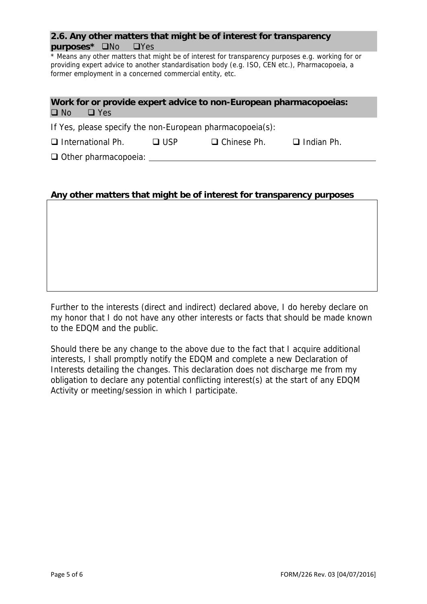# **2.6. Any other matters that might be of interest for transparency purposes\***  $\Box$ No  $\Box$ Yes

\* Means any other matters that might be of interest for transparency purposes e.g. working for or providing expert advice to another standardisation body (e.g. ISO, CEN etc.), Pharmacopoeia, a former employment in a concerned commercial entity, etc.

# **Work for or provide expert advice to non-European pharmacopoeias:**   $\Box$  No  $\Box$  Yes

If Yes, please specify the non-European pharmacopoeia(s):

 $\Box$  International Ph.  $\Box$  USP  $\Box$  Chinese Ph.  $\Box$  Indian Ph.

□ Other pharmacopoeia:

# **Any other matters that might be of interest for transparency purposes**

Further to the interests (direct and indirect) declared above, I do hereby declare on my honor that I do not have any other interests or facts that should be made known to the EDQM and the public.

Should there be any change to the above due to the fact that I acquire additional interests, I shall promptly notify the EDQM and complete a new Declaration of Interests detailing the changes. This declaration does not discharge me from my obligation to declare any potential conflicting interest(s) at the start of any EDQM Activity or meeting/session in which I participate.